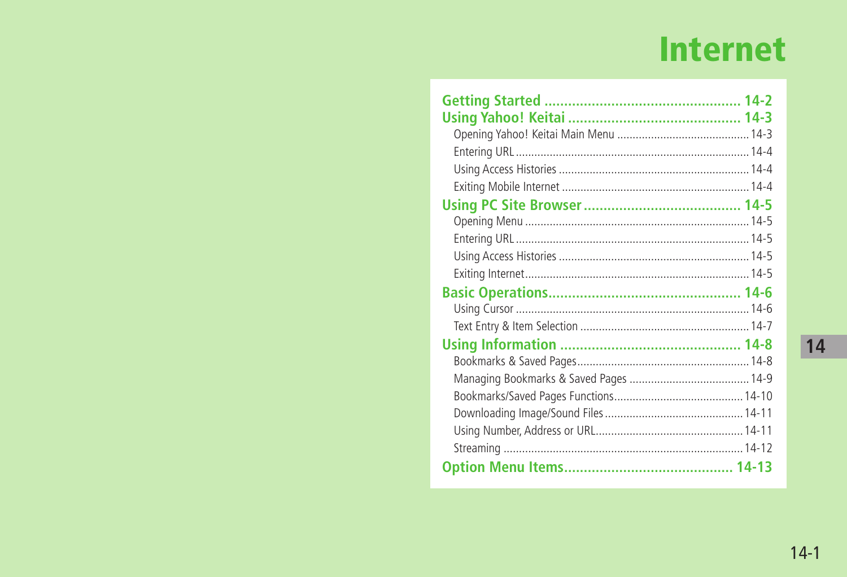# **Internet**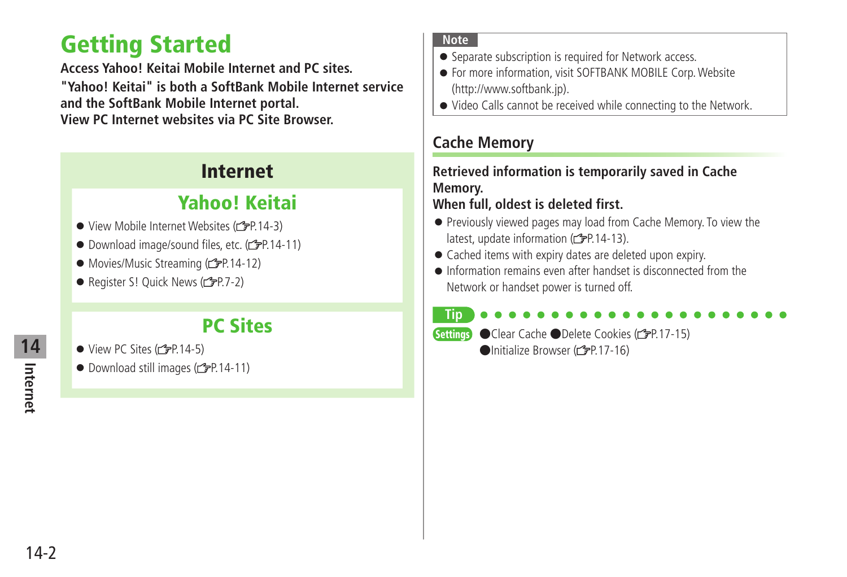## <span id="page-1-0"></span>**Getting Started**

**Access Yahoo! Keitai Mobile Internet and PC sites. "Yahoo! Keitai" is both a SoftBank Mobile Internet service and the SoftBank Mobile Internet portal. View PC Internet websites via PC Site Browser.**

### **Internet**

## **Yahoo! Keitai**

- $\bullet$  View Mobile Internet Websites ( $\rightarrow$ P.14-3)
- Download image/sound files, etc. (c P.14-11)
- $\bullet$  Movies/Music Streaming ( $\leq P.14-12$ )
- Register S! Quick News  $(\mathcal{F}P.7-2)$

### **PC Sites**

- $\bullet$  View PC Sites ( $\leq$ P.14-5)
- $\bullet$  Download still images ( $\angle$  P.14-11)

#### **Note**

- Separate subscription is required for Network access.
- For more information, visit SOFTBANK MOBILE Corp. Website (http://www.softbank.jp).
- Video Calls cannot be received while connecting to the Network.

### **Cache Memory**

### **Retrieved information is temporarily saved in Cache Memory.**

### **When full, oldest is deleted first.**

- Previously viewed pages may load from Cache Memory. To view the latest, update information  $(r^2 \rightarrow P 14-13)$ .
- Cached items with expiry dates are deleted upon expiry.
- Information remains even after handset is disconnected from the Network or handset power is turned off.

#### **Tip**

**Settings** ● Clear Cache ● Delete Cookies (rep. 17-15) ●Initialize Browser (子P.17-16)

**Internet 14**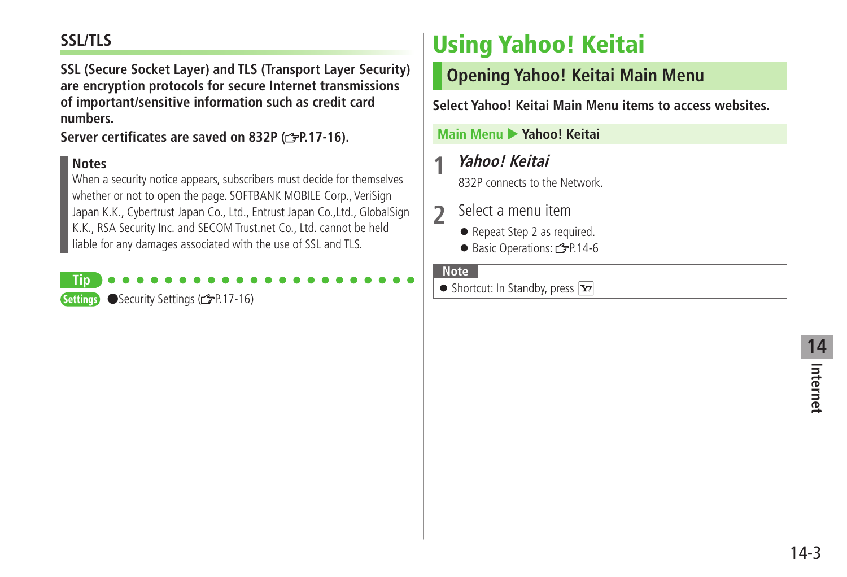### <span id="page-2-0"></span>**SSL/TLS**

**SSL (Secure Socket Layer) and TLS (Transport Layer Security) are encryption protocols for secure Internet transmissions of important/sensitive information such as credit card numbers.**

**Server certificates are saved on 832P ( P.17-16).**

#### **Notes**

**Tip**

When a security notice appears, subscribers must decide for themselves whether or not to open the page. SOFTBANK MOBILE Corp., VeriSign Japan K.K., Cybertrust Japan Co., Ltd., Entrust Japan Co.,Ltd., GlobalSign K.K., RSA Security Inc. and SECOM Trust.net Co., Ltd. cannot be held liable for any damages associated with the use of SSL and TLS.

**Settings** ● Security Settings (全P.17-16)

## **Using Yahoo! Keitai**

**Opening Yahoo! Keitai Main Menu**

**Select Yahoo! Keitai Main Menu items to access websites.**

**Main Menu** X **Yahoo! Keitai**

### **1 Yahoo! Keitai**

832P connects to the Network.

- **2** Select a menu item
	- Repeat Step 2 as required.
	- Basic Operations: r<sup>-</sup> P.14-6

#### **Note**

 $\bullet$  Shortcut: In Standby, press  $\boxed{\mathbf{x}}$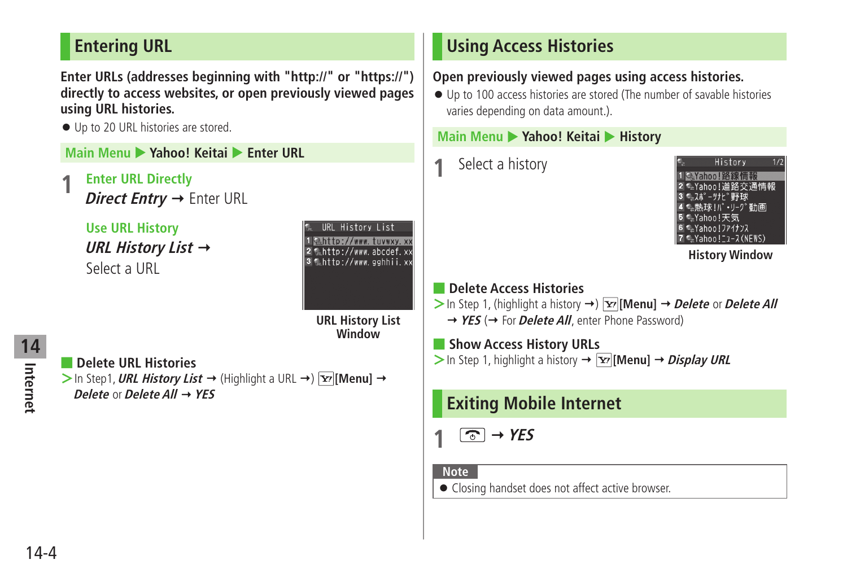### <span id="page-3-0"></span>**Entering URL**

**Enter URLs (addresses beginning with "http://" or "https://") directly to access websites, or open previously viewed pages using URL histories.**

● Up to 20 URL histories are stored.

- **Enter URL Directly** 
	- *Direct Entrv →* **Enter URL**

```
 Use URL History
URL History List  
Select a URL
```


**URL History List Window**

**Internet 14**

■ **Delete URL Histories**  $>$  In Step1, **URL History List**  $\rightarrow$  (Highlight a URL  $\rightarrow$  )  $\boxed{\mathbf{x}}$  [Menu]  $\rightarrow$ **Delete** or **Delete All YES**

### **Using Access Histories**

### **Open previously viewed pages using access histories.**

● Up to 100 access histories are stored (The number of savable histories varies depending on data amount.).

### **Main Menu > Yahoo! Keitai > History**

**1** Select a history



**History Window**

#### ■ **Delete Access Histories**

- $>$  In Step 1, (highlight a history  $\rightarrow$  )  $\boxed{\mathbf{Y}}$  [Menu]  $\rightarrow$  *Delete* or *Delete All* → YES (→ For Delete All, enter Phone Password)
- **Show Access History URLs**
- $>$  In Step 1, highlight a history  $\rightarrow$   $\overline{Y}$  [Menu]  $\rightarrow$  *Display URL*

### **Exiting Mobile Internet**

```
\boxed{\odot} \rightarrow YES
```
#### **Note**

● Closing handset does not affect active browser.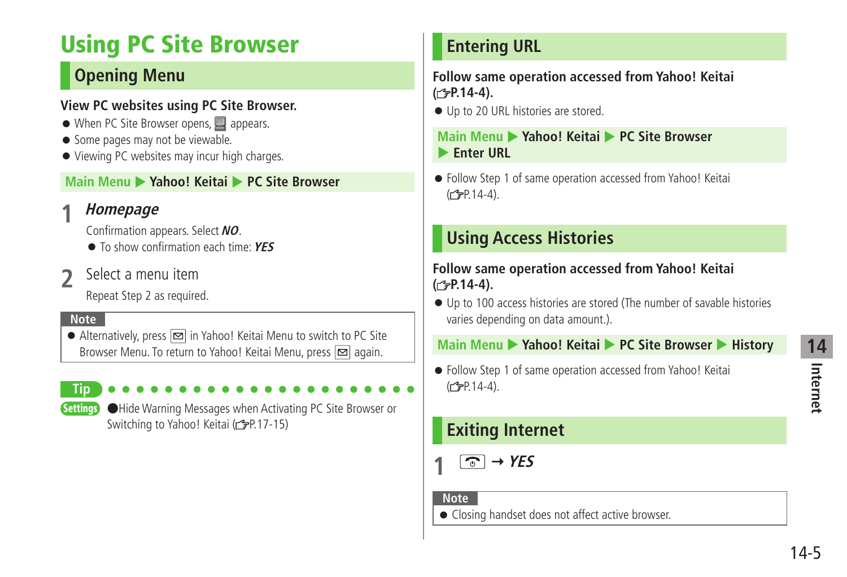## <span id="page-4-0"></span>**Using PC Site Browser**

### **Opening Menu**

#### **View PC websites using PC Site Browser.**

- When PC Site Browser opens, appears.
- Some pages may not be viewable.
- Viewing PC websites may incur high charges.

### **Main Menu > Yahoo! Keitai > PC Site Browser**

### **1 Homepage**

Confirmation appears. Select **NO**.

- To show confirmation each time: **YES**
- **2** Select a menu item

Repeat Step 2 as required.

#### **Note**

 $\bullet$  Alternatively, press  $\boxed{\infty}$  in Yahoo! Keitai Menu to switch to PC Site Browser Menu. To return to Yahoo! Keitai Menu, press  $\boxed{\infty}$  again.

**Tip**

Settings ●Hide Warning Messages when Activating PC Site Browser or Switching to Yahoo! Keitai (<a>P.17-15)</a>

### **Entering URL**

**Follow same operation accessed from Yahoo! Keitai ( P.14-4).**

● Up to 20 URL histories are stored.

**Main Menu > Yahoo! Keitai > PC Site Browser Enter URL** 

● Follow Step 1 of same operation accessed from Yahoo! Keitai  $(2P.14-4)$ .

### **Using Access Histories**

#### **Follow same operation accessed from Yahoo! Keitai ( P.14-4).**

● Up to 100 access histories are stored (The number of savable histories varies depending on data amount.).

#### **Main Menu > Yahoo! Keitai > PC Site Browser > History**

● Follow Step 1 of same operation accessed from Yahoo! Keitai (<del>f</del>P.14-4).

### **Exiting Internet**

 $\boxed{\odot}$   $\rightarrow$  YES

**Note**

● Closing handset does not affect active browser.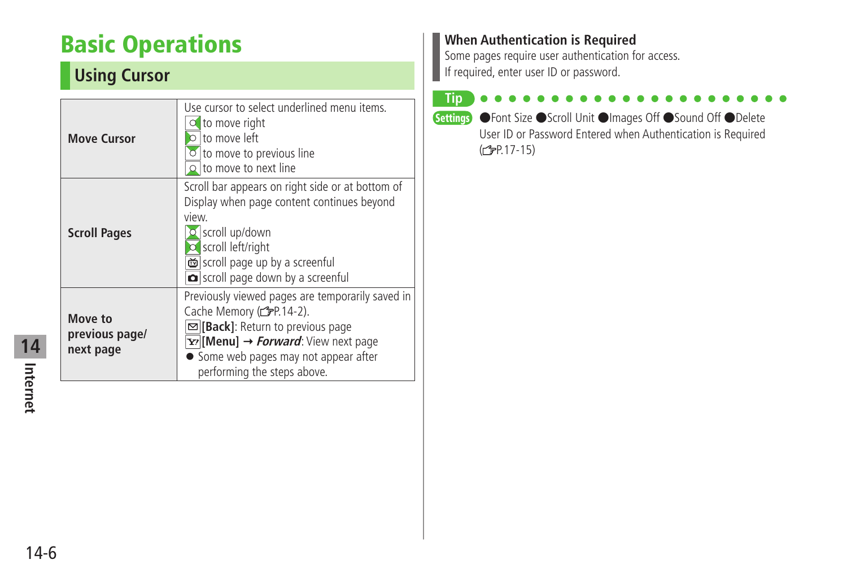## <span id="page-5-0"></span>**Basic Operations**

### **Using Cursor**

| <b>Move Cursor</b>                     | Use cursor to select underlined menu items.<br>$\circ$ to move right<br>to move left<br>$\circ$ to move to previous line<br>$\Omega$ to move to next line                                                                                                                          |
|----------------------------------------|------------------------------------------------------------------------------------------------------------------------------------------------------------------------------------------------------------------------------------------------------------------------------------|
| <b>Scroll Pages</b>                    | Scroll bar appears on right side or at bottom of<br>Display when page content continues beyond<br><b>view</b><br>O scroll up/down<br><b>O</b> scroll left/right<br>coll page up by a screenful<br>scroll page down by a screenful                                                  |
| Move to<br>previous page/<br>next page | Previously viewed pages are temporarily saved in<br>Cache Memory (rep. 14-2).<br><b>⊠[Back]</b> : Return to previous page<br>$\overline{\mathbf{Y}'}$ [Menu] $\rightarrow$ <i>Forward</i> : View next page<br>• Some web pages may not appear after<br>performing the steps above. |

### **When Authentication is Required**

Some pages require user authentication for access. If required, enter user ID or password.

#### **Tip**

Settings ●Font Size ●Scroll Unit ●Images Off ●Sound Off ●Delete User ID or Password Entered when Authentication is Required  $(\mathbb{Z}P.17-15)$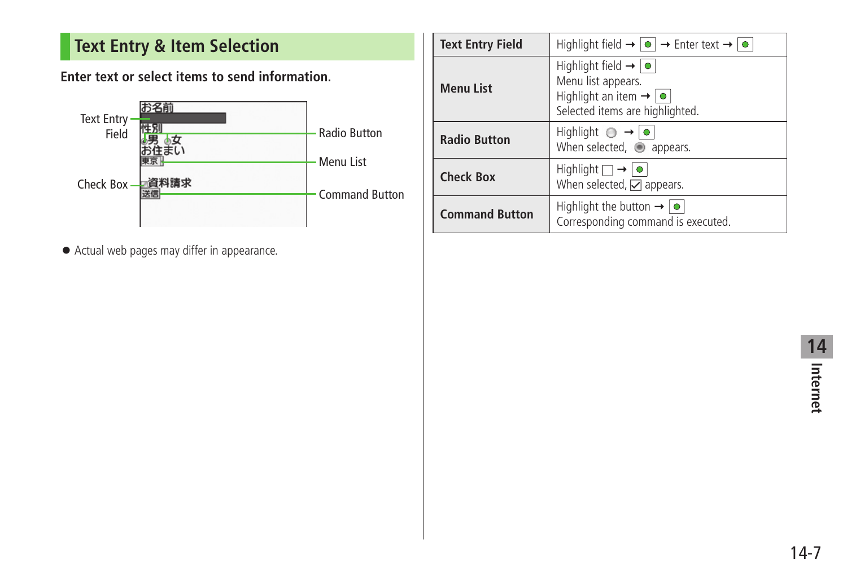### <span id="page-6-0"></span>**Text Entry & Item Selection**

**Enter text or select items to send information.**



● Actual web pages may differ in appearance.

| <b>Text Entry Field</b> | Highlight field $\rightarrow \lceil \bullet \rceil \rightarrow$ Enter text $\rightarrow \lceil \bullet \rceil$                                        |
|-------------------------|-------------------------------------------------------------------------------------------------------------------------------------------------------|
| <b>Menu List</b>        | Highlight field $\rightarrow  \bullet $<br>Menu list appears.<br>Highlight an item $\rightarrow$ $\boxed{\bullet}$<br>Selected items are highlighted. |
| <b>Radio Button</b>     | Highlight $\bigcirc \rightarrow \bigcirc$<br>When selected, appears.                                                                                  |
| <b>Check Box</b>        | Highlight $\Box \rightarrow   \bullet  $<br>When selected, $\Box$ appears.                                                                            |
| <b>Command Button</b>   | Highlight the button $\rightarrow  \bullet $<br>Corresponding command is executed.                                                                    |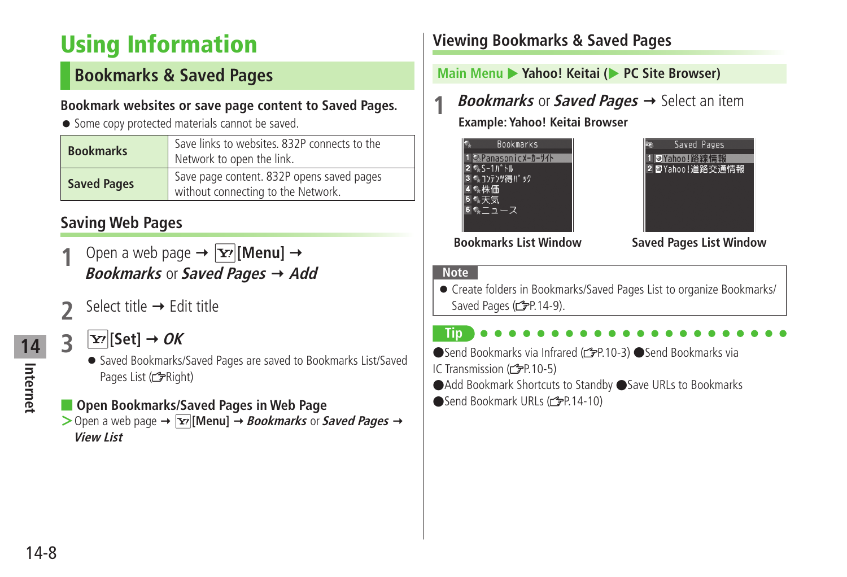## <span id="page-7-0"></span>**Using Information**

### **Bookmarks & Saved Pages**

#### **Bookmark websites or save page content to Saved Pages.**

● Some copy protected materials cannot be saved.

| <b>Bookmarks</b>   | Save links to websites. 832P connects to the<br>Network to open the link.       |
|--------------------|---------------------------------------------------------------------------------|
| <b>Saved Pages</b> | Save page content. 832P opens saved pages<br>without connecting to the Network. |

### **Saving Web Pages**

- Open a web page  $\rightarrow \boxed{\mathbf{Y}}$  [Menu]  $\rightarrow$ **Bookmarks** or **Saved Pages Add**
- Select title  $\rightarrow$  Edit title
- **3 Example 1 DE** 
	- Saved Bookmarks/Saved Pages are saved to Bookmarks List/Saved Pages List ( FRight)

### ■ **Open Bookmarks/Saved Pages in Web Page**

 $>$  Open a web page  $\rightarrow \boxed{\text{Y}}$  [Menu]  $\rightarrow$  *Bookmarks* or *Saved Pages*  $\rightarrow$ **View List**

### **Viewing Bookmarks & Saved Pages**

### **Main Menu > Yahoo! Keitai (> PC Site Browser)**

*Bookmarks* or **Saved Pages**  $\rightarrow$  Select an item **Example: Yahoo! Keitai Browser**

| <b>Bookmarks</b>        |  |
|-------------------------|--|
| ूPanasonicメーカーサイト       |  |
| $S-1h$ <sup>*</sup> $h$ |  |
| ションテンツ得パック              |  |
| ◎株価                     |  |
| - 天気                    |  |
|                         |  |
|                         |  |



**Bookmarks List Window Saved Pages List Window**

#### **Note**

● Create folders in Bookmarks/Saved Pages List to organize Bookmarks/ Saved Pages (rep. 14-9).



●Send Bookmarks via Infrared (rep. 10-3) ●Send Bookmarks via IC Transmission  $(r^2P.10-5)$ 

- ●Add Bookmark Shortcuts to Standby ●Save URLs to Bookmarks
- ●Send Bookmark URLs (全P.14-10)

**Internet**

**14**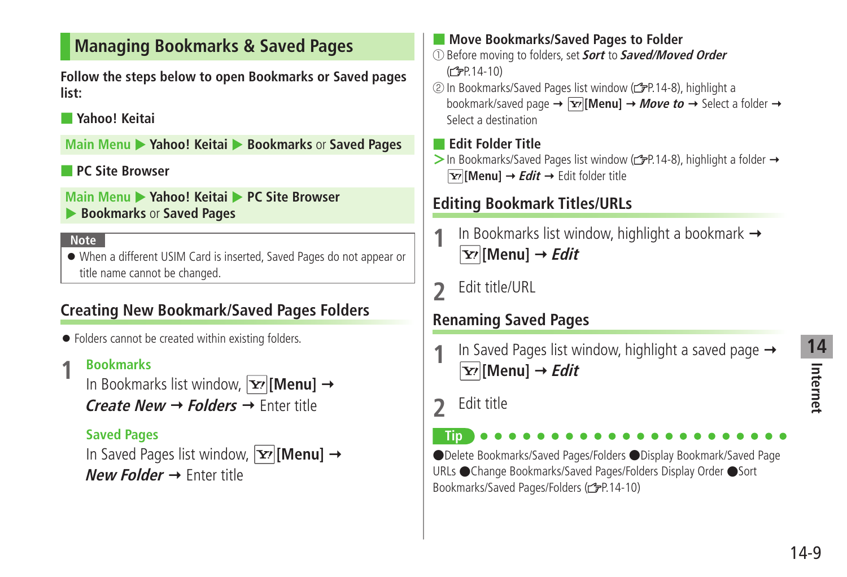### <span id="page-8-0"></span>**Managing Bookmarks & Saved Pages**

**Follow the steps below to open Bookmarks or Saved pages list:**

#### ■ **Yahoo! Keitai**

**Main Menu > Yahoo! Keitai > Bookmarks** or **Saved Pages** 

### ■ **PC Site Browser**

**Main Menu > Yahoo! Keitai > PC Site Browser Bookmarks** or **Saved Pages** 

#### **Note**

● When a different USIM Card is inserted, Saved Pages do not appear or title name cannot be changed.

### **Creating New Bookmark/Saved Pages Folders**

● Folders cannot be created within existing folders.

**1** Bookmarks<br>
In Bookmarks list window, **[x**<sup>2</sup>]**[Menu]** → **Create New Folders** Enter title

### **Saved Pages**

In Saved Pages list window,  $\overline{\mathbf{x}'}$  [Menu]  $\rightarrow$ **New Folder → Enter title** 

### ■ **Move Bookmarks/Saved Pages to Folder**

- ① Before moving to folders, set **Sort** to **Saved/Moved Order**  $(\mathbb{Z}P.14-10)$
- ② In Bookmarks/Saved Pages list window ( P.14-8), highlight a bookmark/saved page  $\rightarrow \boxed{\mathbf{Y}}$  [Menu]  $\rightarrow$  *Move to*  $\rightarrow$  Select a folder  $\rightarrow$ Select a destination

### ■ **Edit Folder Title**

> In Bookmarks/Saved Pages list window (c<sup>2</sup>P.14-8), highlight a folder → **[x** $\overline{Y}$ **] Menu]**  $\rightarrow$  *Edit*  $\rightarrow$  Edit folder title

### **Editing Bookmark Titles/URLs**

- In Bookmarks list window, highlight a bookmark →  $\overline{\mathbf{Y}'}$  [Menu]  $\rightarrow$  *Edit*
- **2** Edit title/URL

### **Renaming Saved Pages**

- In Saved Pages list window, highlight a saved page  $\rightarrow$  $\overline{\mathbf{Y}'}$  [Menu]  $\rightarrow$  *Edit*
- **2** Edit title

**Tip** ●Delete Bookmarks/Saved Pages/Folders ●Display Bookmark/Saved Page URLs ●Change Bookmarks/Saved Pages/Folders Display Order ●Sort Bookmarks/Saved Pages/Folders ( $\mathcal{P}$ P.14-10)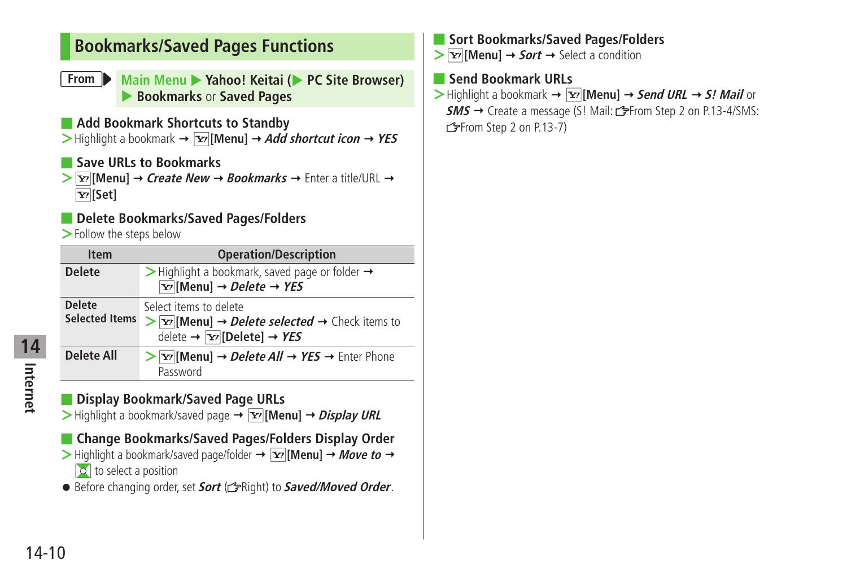### <span id="page-9-0"></span>**Bookmarks/Saved Pages Functions**

- **From Main Menu** Yahoo! Keitai (**X** PC Site Browser) X **Bookmarks** or **Saved Pages**
- **Add Bookmark Shortcuts to Standby**

 $>$  Highlight a bookmark  $\rightarrow \boxed{\mathbf{x}}$  [Menu]  $\rightarrow$  *Add shortcut icon*  $\rightarrow$  *YES* 

#### ■ **Save URLs to Bookmarks**

 $\triangleright$  **[Menu]**  $\rightarrow$  **Create New**  $\rightarrow$  **Bookmarks**  $\rightarrow$  **Enter a title/URL**  $\rightarrow$ **[Set]**

#### ■ **Delete Bookmarks/Saved Pages/Folders**

**>**Follow the steps below

| <b>Item</b>                            | <b>Operation/Description</b>                                                                                                                                                                        |
|----------------------------------------|-----------------------------------------------------------------------------------------------------------------------------------------------------------------------------------------------------|
| <b>Delete</b>                          | $\triangleright$ Highlight a bookmark, saved page or folder $\rightarrow$<br>$\boxed{\text{Y}}$ [Menu] $\rightarrow$ <i>Delete</i> $\rightarrow$ <i>YES</i>                                         |
| <b>Delete</b><br><b>Selected Items</b> | Select items to delete<br>$\triangleright$ <b>Tr</b> [Menu] $\rightarrow$ <i>Delete selected</i> $\rightarrow$ Check items to<br>delete $\rightarrow \boxed{\mathbf{Y}}$ [Delete] $\rightarrow$ YES |
| Delete All                             | $\triangleright$   <b>Y</b> <sup>r</sup>   <b>Menu</b> ] $\rightarrow$ <i>Delete All</i> $\rightarrow$ <i>YES</i> $\rightarrow$ Enter Phone<br>Password                                             |

### **Display Bookmark/Saved Page URLs**

**>** Highlight a bookmark/saved page →  $\boxed{\mathbf{x}}$  [Menu] → *Display URL* 

■ **Change Bookmarks/Saved Pages/Folders Display Order**  $>$  Highlight a bookmark/saved page/folder  $\rightarrow \boxed{\mathbf{x}}$  [Menu]  $\rightarrow$  Move to  $\rightarrow$  $\sqrt{2}$  to select a position

● Before changing order, set **Sort** (<del>○</del>Right) to **Saved/Moved Order**.

#### ■ **Sort Bookmarks/Saved Pages/Folders**

 $\triangleright$  **[x] [Menu]**  $\rightarrow$  *Sort*  $\rightarrow$  Select a condition

#### ■ **Send Bookmark URLs**

 $>$  Highlight a bookmark  $\rightarrow \boxed{\infty}$  [Menu]  $\rightarrow$  **Send URL**  $\rightarrow$  **S! Mail** or

**SMS** → Create a message (S! Mail: from Step 2 on P.13-4/SMS: From Step 2 on P.13-7)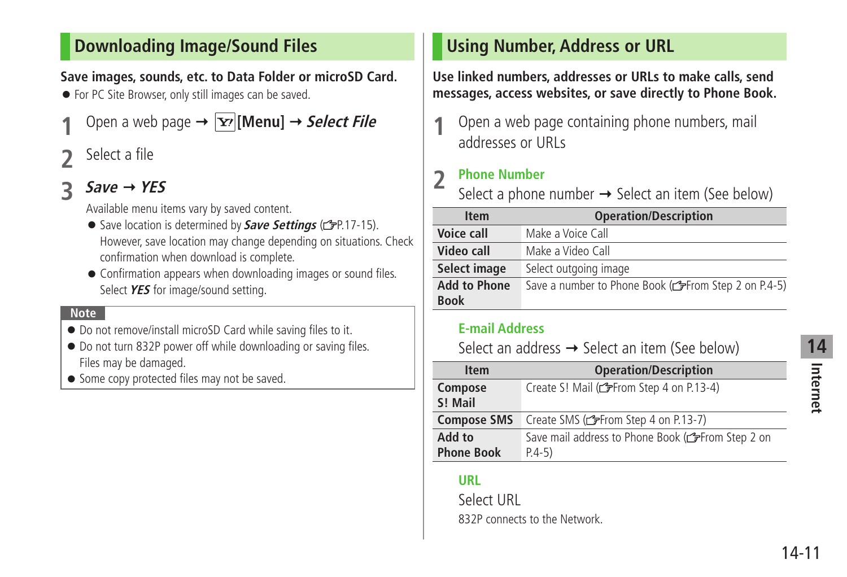### <span id="page-10-0"></span>**Downloading Image/Sound Files**

### **Save images, sounds, etc. to Data Folder or microSD Card.**

● For PC Site Browser, only still images can be saved.

- Open a web page  $\rightarrow$   $\vert x \vert$  [**Menu**]  $\rightarrow$  *Select File*
- **2** Select a file

### **3 Save YES**

Available menu items vary by saved content.

- Save location is determined by **Save Settings** (<del>○</del>P.17-15). However, save location may change depending on situations. Check confirmation when download is complete.
- Confirmation appears when downloading images or sound files. Select **YES** for image/sound setting.

#### **Note**

- Do not remove/install microSD Card while saving files to it.
- Do not turn 832P power off while downloading or saving files. Files may be damaged.
- Some copy protected files may not be saved.

### **Using Number, Address or URL**

**Use linked numbers, addresses or URLs to make calls, send messages, access websites, or save directly to Phone Book.**

**1** Open a web page containing phone numbers, mail addresses or URLs

### **2 Phone Number**

Select a phone number  $\rightarrow$  Select an item (See below)

| <b>Item</b>         | <b>Operation/Description</b>                         |
|---------------------|------------------------------------------------------|
| Voice call          | Make a Voice Call                                    |
| Video call          | Make a Video Call                                    |
| Select image        | Select outgoing image                                |
| <b>Add to Phone</b> | Save a number to Phone Book (CFFrom Step 2 on P.4-5) |
| <b>Book</b>         |                                                      |

#### **E-mail Address**

Select an address  $\rightarrow$  Select an item (See below)

| <b>Item</b>                 | <b>Operation/Description</b>                                  |
|-----------------------------|---------------------------------------------------------------|
| Compose<br>S! Mail          | Create S! Mail (read Step 4 on P.13-4)                        |
| <b>Compose SMS</b>          | Create SMS (reader Step 4 on P.13-7)                          |
| Add to<br><b>Phone Book</b> | Save mail address to Phone Book (CFFrom Step 2 on<br>$P.4-5)$ |
|                             |                                                               |

### **URL**

I

Select URL 832P connects to the Network.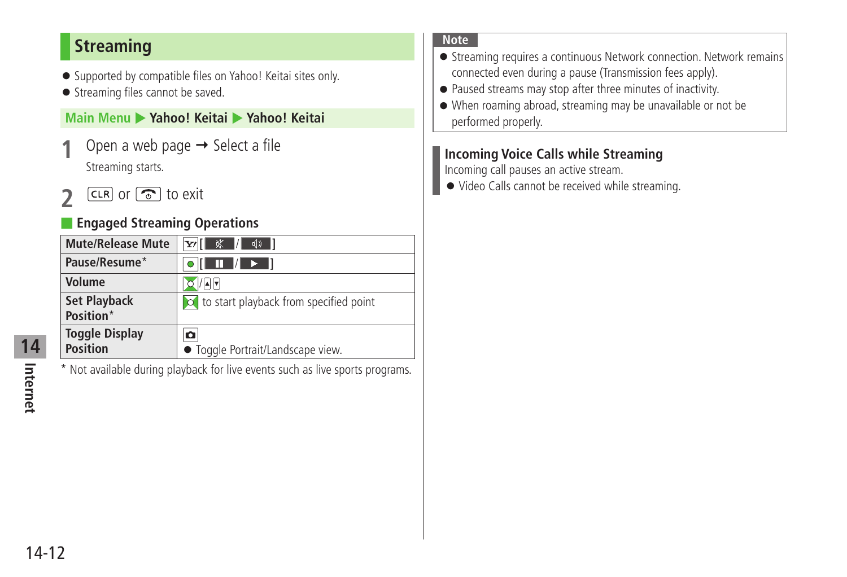### <span id="page-11-0"></span>**Streaming**

- Supported by compatible files on Yahoo! Keitai sites only.
- Streaming files cannot be saved.

#### **Main Menu** X **Yahoo! Keitai** X **Yahoo! Keitai**

- Open a web page  $\rightarrow$  Select a file Streaming starts.
- $[CH]$  or  $\boxed{\odot}$  to exit

### **Engaged Streaming Operations**

| <b>Mute/Release Mute</b>                 | Y/L<br>※<br>√D                             |
|------------------------------------------|--------------------------------------------|
| Pause/Resume*                            | $\mathcal{L}$<br>Ш<br>DE 1                 |
| Volume                                   | $  \mathbf{A}  \mathbf{v}  $               |
| <b>Set Playback</b><br>Position*         | col to start playback from specified point |
| <b>Toggle Display</b><br><b>Position</b> | ٥<br>• Toggle Portrait/Landscape view.     |

\* Not available during playback for live events such as live sports programs.

## **Internet 14**

#### **Note**

- Streaming requires a continuous Network connection. Network remains connected even during a pause (Transmission fees apply).
- Paused streams may stop after three minutes of inactivity.
- When roaming abroad, streaming may be unavailable or not be performed properly.

#### **Incoming Voice Calls while Streaming**

Incoming call pauses an active stream.

● Video Calls cannot be received while streaming.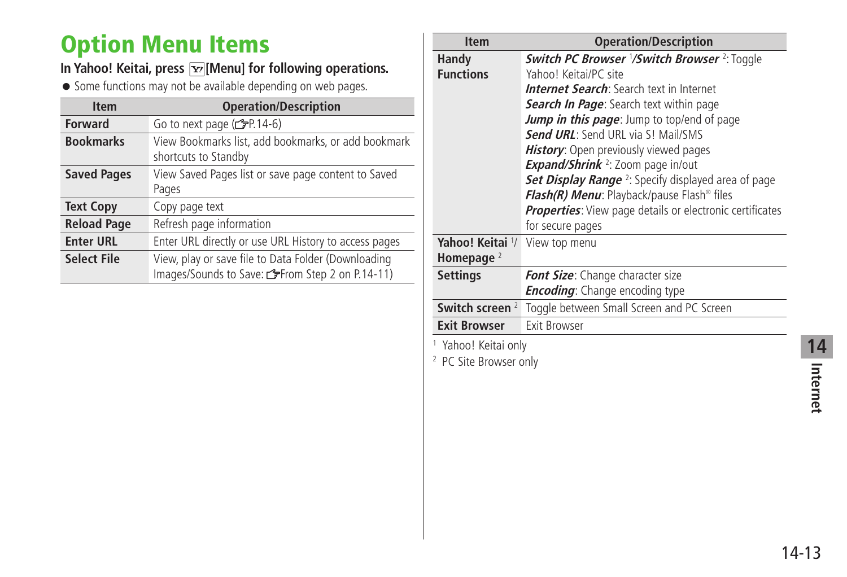## <span id="page-12-0"></span>**Option Menu Items**

### In Yahoo! Keitai, press  $\boxed{\mathbf{x}}$  [Menu] for following operations.

● Some functions may not be available depending on web pages.

| <b>Item</b>        | <b>Operation/Description</b>                                                                          |
|--------------------|-------------------------------------------------------------------------------------------------------|
| <b>Forward</b>     | Go to next page $(\mathcal{F}P.14-6)$                                                                 |
| <b>Bookmarks</b>   | View Bookmarks list, add bookmarks, or add bookmark<br>shortcuts to Standby                           |
| <b>Saved Pages</b> | View Saved Pages list or save page content to Saved<br>Pages                                          |
| <b>Text Copy</b>   | Copy page text                                                                                        |
| <b>Reload Page</b> | Refresh page information                                                                              |
| <b>Enter URL</b>   | Enter URL directly or use URL History to access pages                                                 |
| <b>Select File</b> | View, play or save file to Data Folder (Downloading<br>Images/Sounds to Save: from Step 2 on P.14-11) |

| <b>Item</b>                       | <b>Operation/Description</b>                                           |
|-----------------------------------|------------------------------------------------------------------------|
| Handy                             | <b>Switch PC Browser '/Switch Browser 2: Toggle</b>                    |
| <b>Functions</b>                  | Yahoo! Keitai/PC site                                                  |
|                                   | <b>Internet Search</b> : Search text in Internet                       |
|                                   | <b>Search In Page:</b> Search text within page                         |
|                                   | Jump in this page: Jump to top/end of page                             |
|                                   | <b>Send URL:</b> Send URL via S! Mail/SMS                              |
|                                   | History: Open previously viewed pages                                  |
|                                   | <b>Expand/Shrink</b> <sup>2</sup> : Zoom page in/out                   |
|                                   | <b>Set Display Range</b> <sup>2</sup> : Specify displayed area of page |
|                                   | Flash(R) Menu: Playback/pause Flash® files                             |
|                                   | <b>Properties:</b> View page details or electronic certificates        |
|                                   | for secure pages                                                       |
| Yahoo! Keitai 1/                  | View top menu                                                          |
| Homepage $2$                      |                                                                        |
| <b>Settings</b>                   | <b>Font Size:</b> Change character size                                |
|                                   | <b>Encoding</b> : Change encoding type                                 |
| Switch screen <sup>2</sup>        | Toggle between Small Screen and PC Screen                              |
| <b>Exit Browser</b>               | Exit Browser                                                           |
| <sup>1</sup> Yahoo! Keitai only   |                                                                        |
| <sup>2</sup> PC Site Browser only |                                                                        |